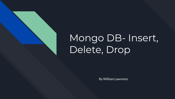

# Mongo DB- Insert, Delete, Drop

By William Lawrence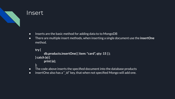

#### Insert

- Inserts are the basic method for adding data to to MongoDB
- There are multiple insert methods, when inserting a single document use the **insertOne** method.

```
try {
```

```
db.products.insertOne( { item: "card", qty: 15 } );
} catch (e) {
```

```
print (e);
```
- **};**
- The code above inserts the specified document into the database products
- insertOne also has a "\_id" key, that when not specified Mongo will add one.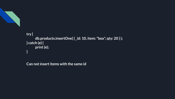

#### **try { db.products.insertOne( { \_id: 10, item: "box", qty: 20 } ); } catch (e) { print (e); }**

**Can not insert items with the same id**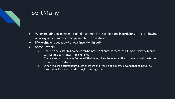#### insertMany

- When needing to insert multiple documents into a collection, **insertMany** is used allowing an array of documents to be passed to the database.
- More efficient because it allows insertion in bulk
- Some Caveats
	- There is a data limit to how much can be inserted at once, no more than 48mb. Otherwise Mongo will split the batch insert into multiples.
	- There is second parameter "ordered" that determines the whether the documents are inserted in the order provided or not.
	- When true if a document produces an insertion error, no documents beyond that point will be inserted, while a unordered insert, inserts regardless.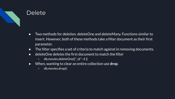

### **Delete**

- Two methods for deletion. deleteOne and deleteMany. Functions similar to insert. However, both of these methods take a filter document as their first parameter.
- The filter specifies a set of criteria to match against in removing documents.
- deleteOne deletes the first document to match the filter
	- db.movies.deleteOne({"\_id" : 4 })
- When, wanting to clear an entire collection use **drop**.
	- db.movies.drop()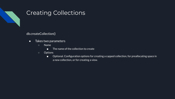

## Creating Collections

db.createCollection()

- Takes two parameters
	- Name
		- The name of the collection to create
	- Options
		- Optional. Configuration options for creating a capped collection, for preallocating space in a new collection, or for creating a view.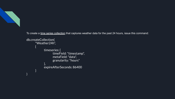

)

To create a [time series collection](https://docs.mongodb.com/manual/reference/glossary/#std-term-time-series-collection) that captures weather data for the past 24 hours, issue this command:

```
db.createCollection(
      "Weather24h",
      {
            timeseries: {
                   timeField: "timestamp",
                   metaField: "data",
                   granularity: "hours"
             },
            expireAfterSeconds: 86400
      }
```